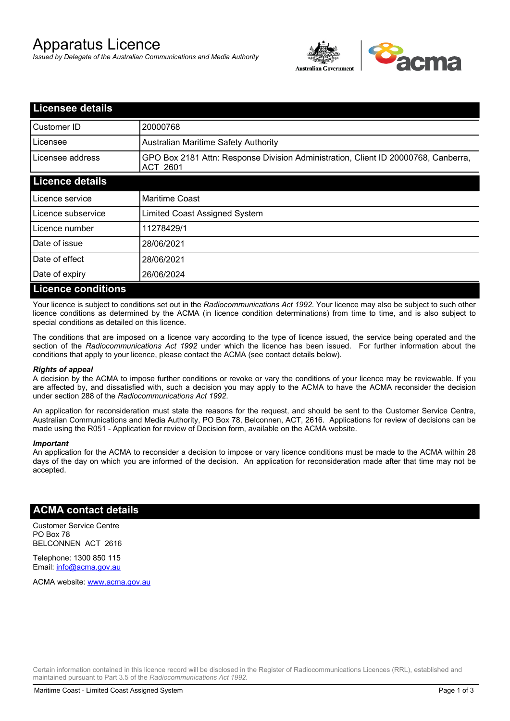# Apparatus Licence

*Issued by Delegate of the Australian Communications and Media Authority*



| <b>Licensee details</b>   |                                                                                                |  |  |
|---------------------------|------------------------------------------------------------------------------------------------|--|--|
| Customer ID               | 20000768                                                                                       |  |  |
| Licensee                  | <b>Australian Maritime Safety Authority</b>                                                    |  |  |
| Licensee address          | GPO Box 2181 Attn: Response Division Administration, Client ID 20000768, Canberra,<br>ACT 2601 |  |  |
| <b>Licence details</b>    |                                                                                                |  |  |
| Licence service           | <b>Maritime Coast</b>                                                                          |  |  |
| Licence subservice        | Limited Coast Assigned System                                                                  |  |  |
| Licence number            | 11278429/1                                                                                     |  |  |
| Date of issue             | 28/06/2021                                                                                     |  |  |
| Date of effect            | 28/06/2021                                                                                     |  |  |
| Date of expiry            | 26/06/2024                                                                                     |  |  |
| <b>Licence conditions</b> |                                                                                                |  |  |

Your licence is subject to conditions set out in the *Radiocommunications Act 1992*. Your licence may also be subject to such other licence conditions as determined by the ACMA (in licence condition determinations) from time to time, and is also subject to special conditions as detailed on this licence.

The conditions that are imposed on a licence vary according to the type of licence issued, the service being operated and the section of the *Radiocommunications Act 1992* under which the licence has been issued. For further information about the conditions that apply to your licence, please contact the ACMA (see contact details below).

### *Rights of appeal*

A decision by the ACMA to impose further conditions or revoke or vary the conditions of your licence may be reviewable. If you are affected by, and dissatisfied with, such a decision you may apply to the ACMA to have the ACMA reconsider the decision under section 288 of the *Radiocommunications Act 1992*.

An application for reconsideration must state the reasons for the request, and should be sent to the Customer Service Centre, Australian Communications and Media Authority, PO Box 78, Belconnen, ACT, 2616. Applications for review of decisions can be made using the R051 - Application for review of Decision form, available on the ACMA website.

#### *Important*

An application for the ACMA to reconsider a decision to impose or vary licence conditions must be made to the ACMA within 28 days of the day on which you are informed of the decision. An application for reconsideration made after that time may not be accepted.

### **ACMA contact details**

Customer Service Centre PO Box 78 BELCONNEN ACT 2616

Telephone: 1300 850 115 Email: info@acma.gov.au

ACMA website: www.acma.gov.au

Certain information contained in this licence record will be disclosed in the Register of Radiocommunications Licences (RRL), established and maintained pursuant to Part 3.5 of the *Radiocommunications Act 1992.*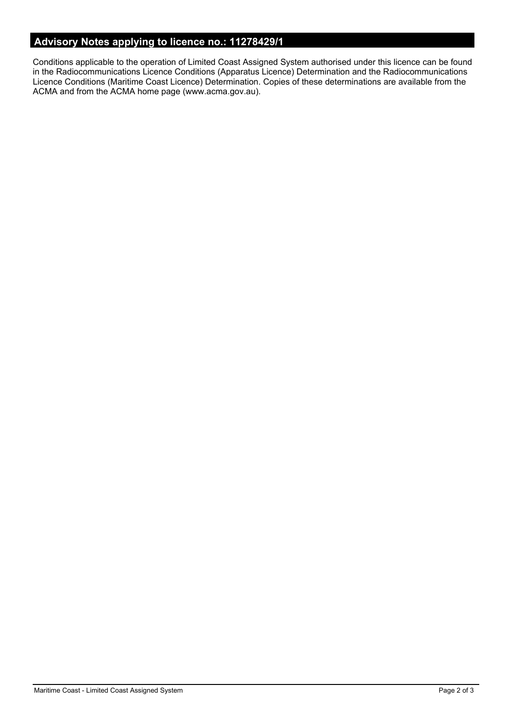# **Advisory Notes applying to licence no.: 11278429/1**

Conditions applicable to the operation of Limited Coast Assigned System authorised under this licence can be found in the Radiocommunications Licence Conditions (Apparatus Licence) Determination and the Radiocommunications Licence Conditions (Maritime Coast Licence) Determination. Copies of these determinations are available from the ACMA and from the ACMA home page (www.acma.gov.au).